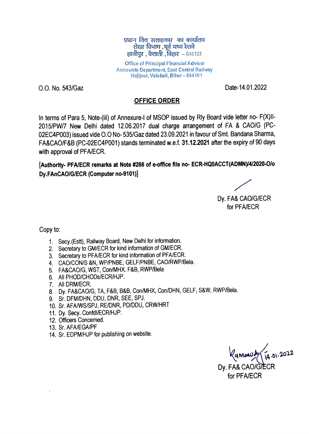प्रधान क्ति सलाहकार का कार्यालय लेखा विभाग, पूर्व मध्य रेलवे हाजीपुर, वैशाली, बिहार  $-844101$ 

Office of Principal Financial Advisor Accounts Department, East Central Railway Hajipur, Vais hali, Bihar-844101

O.O. No. 543/Gaz Date-14.01.2022

## OFFICE ORDER

In terms of Para 5, Note-(ii) of Annexure-l of MSOP issued by Rly Board vide letter no- F(X}|1- 2015/PW/7 New Delhi dated 12.06.2017 dual charge arrangement of FA & CAOIG (PC 02EC4PO03) issued vide O.O No-535/Gaz dated 23.09.2021 in favour of Smt. Bandana Sharma, FA&CAO/F&B (PC-02EC4P001) stands teminated w.e.f. 31.12.2021 after the expiry of 90 days with approval of PFA/ECR.

[Authority- PFA/ECR remarks at Note #266 of e-office file no- ECR-HQ0ACCT(ADMN)/4/2020-O/o Dy.FAnCAOIG/ECR (Computer no-9101)

Dy. FA& CAOIG/ECR for PFA/ECR

Copy to

- 1. Secy.(Estt), Railway Board, New Delhi for information.
- 2. Secretary to GM/ECR for kind information of GM/ECR.
- 3. Secretary to PFA/ECR for kind information of PFA/ECR.
- 4. CAOICON/S &N, WP/PNBE, GELF/PNBE, CAORWP/Bela
- 5. FA&CAO/G, WST, Con/MHX. F&B, RWP/Bela
- 6. All PHODICHODs/ECR/HJP.
- 7. All DRM/ECR.
- 8. Dy. FA&CAO/G, TA, F&B, B&B, Con/MHX, Con/DHN, GELF, S&W, RWP/Bela.
- 9. Sr. DFM/DHN, DDU, DNR, SEE, SPJ.
- 10. Sr. AFAMS/SPJ, RE/DNR, PD/DDU, CRW/HRT
- 11. Dy. Secy. Confdl/ECR/HJP.
- 12. Officers Concened.
- 13. Sr. AFA/EGA/PF
- 14. Sr. EDPM/HJP for publishing on website.

 $y$ mawd Dy. FA& CAO/G/ECR for PFA/ECR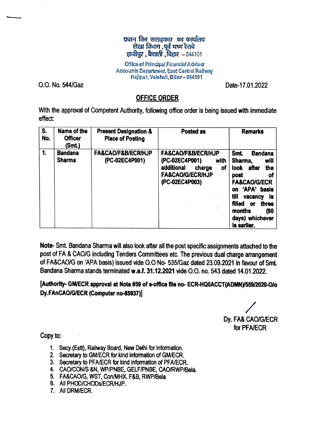## प्रधान क्ति सलाहकार का कार्यालय लेखा विभाग ,पूर्व मध्य रेलवे हाजीपुर, वैशाली, बिहार  $-844101$

Office of Principal Financial Advisa Accounts Department, East Central Railway Hajipur, Vaishali, Bihar- 844101

0.0. No. 544/Gaz

-

Date-17.01.2022

## **OFFICE ORDER**

With the approval of Competent Authority, following office order is being issued with immediate effect:

| S.<br>No. | Name of the<br><b>Officer</b><br>(Smt.) | <b>Present Designation &amp;</b><br><b>Place of Posting</b> | <b>Posted as</b>                                                                                                                           | <b>Remarks</b>                                                                                                                                                                                                                                      |
|-----------|-----------------------------------------|-------------------------------------------------------------|--------------------------------------------------------------------------------------------------------------------------------------------|-----------------------------------------------------------------------------------------------------------------------------------------------------------------------------------------------------------------------------------------------------|
| 1.        | <b>Bandana</b><br><b>Sharma</b>         | <b>FA&amp;CAO/F&amp;B/ECR/HJP</b><br>(PC-02EC4P001)         | <b>FA&amp;CAO/F&amp;B/ECR/HJP</b><br>(PC-02EC4P001)<br>with<br>additional<br>charge<br>of<br><b>FA&amp;CAO/G/ECR/HJP</b><br>(PC-02EC4P003) | <b>Smt.</b><br><b>Bandana</b><br>will<br>Sharma,<br>look<br>the<br>after<br>οf<br>post<br><b>FA&amp;CAO/G/ECR</b><br>'APA' basis<br>on<br>till<br>İS<br>vacancy<br><b>filled</b><br>three<br>or<br>(90)<br>months<br>days) whichever<br>is earlier. |

Note- Smt. Bandana Sharma will also look after all the post specific assignments attached to the post of FA & CAO/G including Tenders Committees etc. The previous dual charge arrangement of FA&CAO/G on 'APA basis) issued vide 0.0 No- 535/Gaz dated 23.09.2021 in favour of Sml Bandana Sharma stands terminated **w.e.f.** 31.12.2021 vide 0.0. no. 543 dated 14.01.2022.

**[Authority- GM/ECR approval at Note #59 of •office file no- ECR-HQ0ACCT(ADMN)/559/2020-0/o Dy.FAnCAO/G/ECR (Computer no-85937)]** 

/ Dy. FA& CAO/G/ECR for PFA/ECR

Copy to:

- 1. Secy.(Estt), Railway Board, New Deihl for Information.
- 2. Secretary to GM/ECR for kind information of GM/ECR.
- 3. Secretary to PFA/ECR for kind Information of PFA/ECR.
- 4. CAO/CON/S &N, WP/PNBE, GELF/PNBE, CAO/RWP/Bela.
- 5. FA&CAO/G, WST, Con/MHX. F&B, RWP/Bela
- 6. All PHOO/CHODs/ECR/HJP.
- 7. All DRM/ECR.